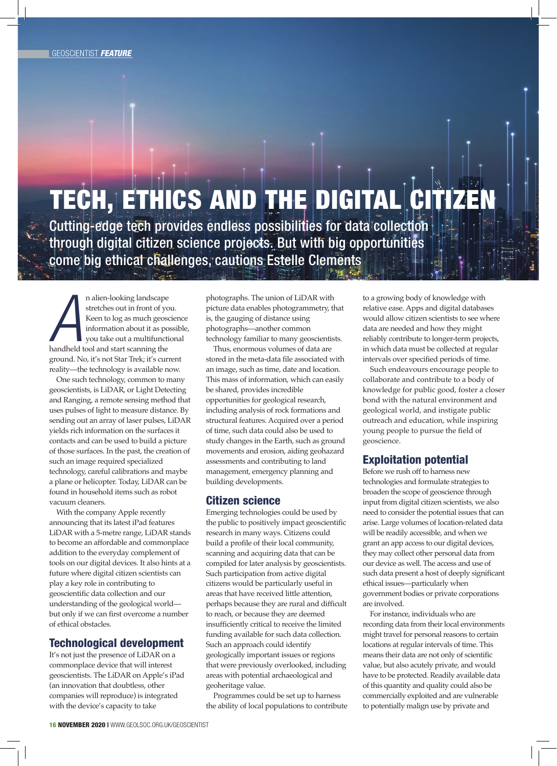# TECH, ETHICS AND THE DIGITAL CI

Cutting-edge tech provides endless possibilities for data collection through digital citizen science projects. But with big opportunities come big ethical challenges, cautions Estelle Clements

*A* handheld tool and start scanning the n alien-looking landscape stretches out in front of you. Keen to log as much geoscience information about it as possible, you take out a multifunctional ground. No, it's not Star Trek; it's current reality—the technology is available now.

One such technology, common to many geoscientists, is LiDAR, or Light Detecting and Ranging, a remote sensing method that uses pulses of light to measure distance. By sending out an array of laser pulses, LiDAR yields rich information on the surfaces it contacts and can be used to build a picture of those surfaces. In the past, the creation of such an image required specialized technology, careful calibrations and maybe a plane or helicopter. Today, LiDAR can be found in household items such as robot vacuum cleaners.

With the company Apple recently announcing that its latest iPad features LiDAR with a 5-metre range, LiDAR stands to become an affordable and commonplace addition to the everyday complement of tools on our digital devices. It also hints at a future where digital citizen scientists can play a key role in contributing to geoscientific data collection and our understanding of the geological world but only if we can first overcome a number of ethical obstacles.

### Technological development

It's not just the presence of LiDAR on a commonplace device that will interest geoscientists. The LiDAR on Apple's iPad (an innovation that doubtless, other companies will reproduce) is integrated with the device's capacity to take

photographs. The union of LiDAR with picture data enables photogrammetry, that is, the gauging of distance using photographs—another common technology familiar to many geoscientists.

Thus, enormous volumes of data are stored in the meta-data file associated with an image, such as time, date and location. This mass of information, which can easily be shared, provides incredible opportunities for geological research, including analysis of rock formations and structural features. Acquired over a period of time, such data could also be used to study changes in the Earth, such as ground movements and erosion, aiding geohazard assessments and contributing to land management, emergency planning and building developments.

### Citizen science

Emerging technologies could be used by the public to positively impact geoscientific research in many ways. Citizens could build a profile of their local community, scanning and acquiring data that can be compiled for later analysis by geoscientists. Such participation from active digital citizens would be particularly useful in areas that have received little attention, perhaps because they are rural and difficult to reach, or because they are deemed insufficiently critical to receive the limited funding available for such data collection. Such an approach could identify geologically important issues or regions that were previously overlooked, including areas with potential archaeological and geoheritage value.

Programmes could be set up to harness the ability of local populations to contribute to a growing body of knowledge with relative ease. Apps and digital databases would allow citizen scientists to see where data are needed and how they might reliably contribute to longer-term projects, in which data must be collected at regular intervals over specified periods of time.

Such endeavours encourage people to collaborate and contribute to a body of knowledge for public good, foster a closer bond with the natural environment and geological world, and instigate public outreach and education, while inspiring young people to pursue the field of geoscience.

## Exploitation potential

Before we rush off to harness new technologies and formulate strategies to broaden the scope of geoscience through input from digital citizen scientists, we also need to consider the potential issues that can arise. Large volumes of location-related data will be readily accessible, and when we grant an app access to our digital devices, they may collect other personal data from our device as well. The access and use of such data present a host of deeply significant ethical issues—particularly when government bodies or private corporations are involved.

For instance, individuals who are recording data from their local environments might travel for personal reasons to certain locations at regular intervals of time. This means their data are not only of scientific value, but also acutely private, and would have to be protected. Readily available data of this quantity and quality could also be commercially exploited and are vulnerable to potentially malign use by private and